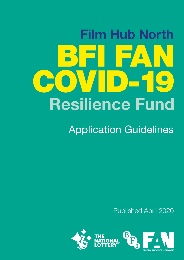# BSFI FA OVID-19 Resilience Fund Film Hub North

Application Guidelines

Published April 2020

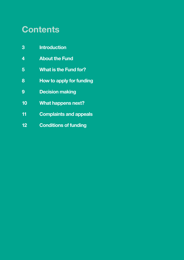### **Contents**

- [Introduction](#page-2-0)
- [About the Fund](#page-3-0)
- [What is the Fund for?](#page-4-0)
- [How to apply for funding](#page-7-0)
- [Decision making](#page-8-0)
- [What happens next?](#page-9-0)
- [Complaints and appeals](#page-10-0)
- [Conditions of funding](#page-11-0)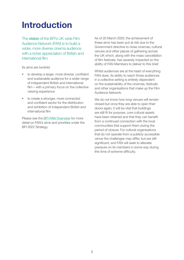### <span id="page-2-0"></span>Introduction

The vision of the BFI's UK wide Film Audience Network (FAN) is to build a wider, more diverse cinema audience with a richer appreciation of British and international film.

Its aims are twofold:

- to develop a larger, more diverse, confident and sustainable audience for a wider range of independent British and international film – with a primary focus on the collective viewing experience
- to create a stronger, more connected and confident sector for the distribution and exhibition of independent British and international film

Please see the [BFI FAN Overview](https://www.inclusivecinema.org/wp-content/uploads/2018/09/bfi-film-audience-network-2017-22-an-overview.pdf) for more detail on FAN's aims and priorities under the BFI 2022 Strategy.

As of 20 March 2020, the achievement of these aims has been put at risk due to the Government directive to close cinemas, cultural venues and other places of gathering across the UK which, along with the mass cancellation of film festivals, has severely impacted on the ability of FAN Members to deliver to this brief.

Whilst audiences are at the heart of everything FAN does, its ability to reach those audiences in a collective setting is entirely dependent on the sustainability of the cinemas, festivals and other organisations that make up the Film Audience Network.

We do not know how long venues will remain closed but once they are able to open their doors again, it will be vital that buildings are still fit for purpose, core cultural assets have been retained and that they can benefit from a continued connection with the local communities that support them during the period of closure. For cultural organisations that do not operate from a publicly accessible venue the challenges may differ, but are still significant, and FAN will seek to alleviate pressure on its members in some way during this time of extreme difficulty.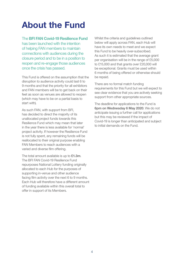### <span id="page-3-0"></span>About the Fund

The BFI FAN Covid-19 Resilience Fund has been launched with the intention of helping FAN members to maintain connections with audiences during the closure period and to be in a position to reopen and re-engage those audiences once the crisis has passed.

This Fund is offered on the assumption that the disruption to audience activity could last 6 to 9 months and that the priority for all exhibitors and FAN members will be to get back on their feet as soon as venues are allowed to reopen (which may have to be on a partial basis to start with).

As such FAN, with support from BFI, has decided to direct the majority of its unallocated project funds towards this Resilience Fund which may mean that later in the year there is less available for 'normal' project activity. If however the Resilience Fund is not fully spent, any remaining funds will be reallocated to their original purpose enabling FAN Members to reach audiences with a varied and diverse film offering.

The total amount available is up to £1.3m. The BFI FAN Covid-19 Resilience Fund repurposes National Lottery funding originally allocated to each Hub for the purposes of supporting in-venue and other audience facing film activity over the next 6 to 9 months. Each Hub will therefore have a different amount of funding available within this overall total to offer in support of its Members.

Whilst the criteria and guidelines outlined below will apply across FAN, each Hub will have its own needs to meet and we expect this Fund to be heavily over-subscribed. As such it is estimated that the average grant per organisation will be in the range of £5,000 to £15,000 and that grants over £20,000 will be exceptional. Grants must be used within 6 months of being offered or otherwise should be repaid.

There are no formal match funding requirements for this Fund but we will expect to see clear evidence that you are actively seeking support from other appropriate sources.

The deadline for applications to the Fund is 6pm on Wednesday 6 May 2020. We do not anticipate issuing a further call for applications but this may be reviewed if the impact of Covid-19 is longer than anticipated and subject to initial demands on the Fund.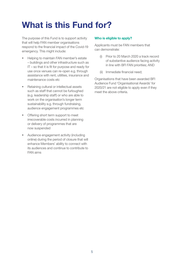## <span id="page-4-0"></span>What is this Fund for?

The purpose of this Fund is to support activity that will help FAN member organisations respond to the financial impact of the Covid-19 emergency. This might include:

- Helping to maintain FAN member's estate – buildings and other infrastructure such as IT – so that it is fit for purpose and ready for use once venues can re-open e.g. through assistance with rent, utilities, insurance and maintenance costs etc
- Retaining cultural or intellectual assets such as staff that cannot be furloughed (e.g. leadership staff) or who are able to work on the organisation's longer term sustainability e.g. through fundraising. audience engagement programmes etc
- Offering short term support to meet irrecoverable costs incurred in planning or delivery of programmes that are now suspended
- Audience engagement activity (including online) during the period of closure that will enhance Members' ability to connect with its audiences and continue to contribute to FAN aims

#### Who is eligible to apply?

Applicants must be FAN members that can demonstrate:

- (i) Prior to 20 March 2020 a track record of substantive audience facing activity in line with BFI FAN priorities; AND
- (ii) Immediate financial need;

Organisations that have been awarded BFI Audience Fund 'Organisational Awards' for 2020/21 are not eligible to apply even if they meet the above criteria.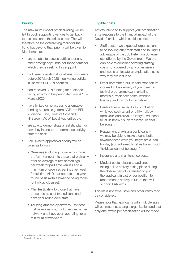#### **Priority**

The maximum impact of this funding will be felt through supporting venues to get back to business once the crisis is over. This will therefore be the overarching focus for the Fund but beyond that, priority will be given to Members that:

- are not able to access sufficient or any other emergency funds<sup>1</sup> for those items for which they're seeking this support
- had been operational for at least two years before 20 March 2020 – delivering activity in line with BFI FAN priorities
- had received FAN funding for audience facing activity in the period January 2018 – March 2020
- have limited or no access to alternative funding sources e.g. from ACE, the BFI Audience Fund, Creative Scotland, NI Screen, ACW, Local Authorities etc
- are able to demonstrate a realistic plan for how they intend to re-commence activity after the crisis
- AND (where applicable) priority will be given as follows:
	- Cinemas (including those within mixed art-form venues) – to those that ordinarily offer an average of two screenings per week for part time venues and a minimum of seven screenings per week for full time AND that operate on a yearround basis (with allowance being made for holiday closures);
	- Film festivals to those that have presented at least two editions and have year round core staff;
	- Touring cinema operators to those that have a minimum of 5 venues in their network and have been operating for a minimum of two years

#### Eligible costs

Activity intended to support your organisation in its response to the financial impact of the Covid-19 crisis – which could include:

- Staff costs we expect all organisations to be looking after their staff and taking full advantage of the Job Retention Scheme etc. offered by the Government. We are only able to consider covering staffing costs not covered by any other means, and would anticipate an explanation as to why they are included
- Other committed but unpaid expenditure incurred in the delivery of your cinema/ festival programme e.g. marketing materials, freelancer costs, website hosting, and distributor rentals etc
- Rent/utilities limited to a contribution while you seek a rent or utility holiday from your landlord/supplier (you will need to let us know if such 'holidays' cannot be sought)
- Repayment of existing bank loans we may be able to make a contribution towards these while you negotiate a loan holiday (you will need to let us know if such 'holidays' cannot be sought)
- Insurance and maintenance costs
- Modest costs relating to audience facing online activity taking place during the closure period – intended to put the applicant in a stronger position to recommence activity in future that will support FAN aims

This list is not exhaustive and other items may be considered.

Please note that applicants with multiple sites will be treated as a single organisation and that only one award per organisation will be made.

<sup>1</sup> Including but not limited to, the Government Coronavirus Job Retention Scheme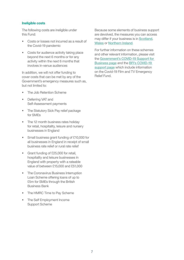#### Ineligible costs

The following costs are ineligible under this Fund:

- Costs or losses not incurred as a result of the Covid-19 pandemic
- Costs for audience activity taking place beyond the next 6 months or for any activity within the next 6 months that involves in-venue audiences

In addition, we will not offer funding to cover costs that can be met by any of the Government's emergency measures such as, but not limited to:

- The Job Retention Scheme
- Deferring VAT and Self-Assessment payments
- The Statutory Sick Pay relief package for SMEs
- The 12 month business rates holiday for retail, hospitality, leisure and nursery businesses in England
- Small business grant funding of £10,000 for all businesses in England in receipt of small business rate relief or rural rate relief
- Grant funding of £25,000 for retail, hospitality and leisure businesses in England with property with a rateable value of between £15,000 and £51,000
- The Coronavirus Business Interruption Loan Scheme offering loans of up to £5m for SMEs through the British Business Bank
- The HMRC Time to Pay Scheme
- The Self Employment Income Support Scheme

Because some elements of business support are devolved, the measures you can access may differ if your business is in [Scotland](https://findbusinesssupport.gov.scot/coronavirus-advice), [Wales](https://businesswales.gov.wales/coronavirus-advice) or [Northern Ireland](https://www.nibusinessinfo.co.uk/business-support/coronavirus).

For further information on these schemes and other relevant information, please visit the [Government's COVID-19 Support for](https://www.gov.uk/government/publications/guidance-to-employers-and-businesses-about-covid-19/covid-19-support-for-businesses)  [Business page](https://www.gov.uk/government/publications/guidance-to-employers-and-businesses-about-covid-19/covid-19-support-for-businesses) and the [BFI's COVID-19](https://www.bfi.org.uk/supporting-uk-film/covid-19-update)  [support page](https://www.bfi.org.uk/supporting-uk-film/covid-19-update) which include information on the Covid-19 Film and TV Emergency Relief Fund.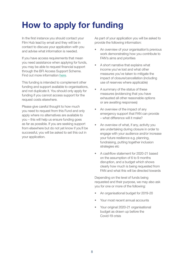## <span id="page-7-0"></span>How to apply for funding

In the first instance you should contact your Film Hub lead by email and they will be in contact to discuss your application with you and advise what information is needed.

If you have access requirements that mean you need assistance when applying for funds, you may be able to request financial support through the BFI Access Support Scheme. Find out more information [here](https://www.bfi.org.uk/supporting-uk-film/film-fund/access-support-bfi-film-fund-applicants).

This funding is intended to complement other funding and support available to organisations, and not duplicate it. You should only apply for funding if you cannot access support for the request costs elsewhere.

Please give careful thought to how much you need to request from this Fund and only apply where no alternatives are available to you – this will help us ensure funding goes as far as possible. If you are seeking support from elsewhere but do not yet know if you'll be successful, you will be asked to set this out in your application.

As part of your application you will be asked to provide the following information:

- An overview of your organisation's previous work demonstrating how you contribute to FAN's aims and priorities
- A short narrative that explains what income you've lost and what other measures you've taken to mitigate the impact of closure/cancellation (including use of reserves where applicable)
- A summary of the status of these measures (evidencing that you have exhausted all other reasonable options or are awaiting responses)
- An overview of the impact of any emergency support that FAN can provide – what difference will it make?
- An overview of what, if any, activity you are undertaking during closure in order to engage with your audience and/or increase your future resilience e.g. planning, fundraising, putting together inclusion strategies etc
- A cashflow statement for 2020-21 based on the assumption of 6 to 9 months disruption, and a budget which shows clearly how much is being requested from FAN and what this will be directed towards

Depending on the level of funds being requested and their purpose, we may also ask you for one or more of the following:

- An organisational budget for 2019-20
- Your most recent annual accounts
- Your original 2020-21 organisational budget as drawn up before the Covid-19 crisis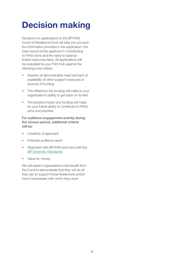### <span id="page-8-0"></span>Decision making

Decisions on applications to the BFI FAN Covid-19 Resilience Fund will take into account the information provided in the application, the track record of the applicant in contributing to FAN's aims and the need to balance limited resources fairly. All applications will be evaluated by your Film Hub against the following core criteria:

- Severity of demonstrable need and lack of availability of other support measures or sources of funding
- The difference the funding will make to your organisation's ability to get back on its feet
- The positive impact any funding will make on your future ability to contribute to FAN's aims and priorities

For audience engagement activity during the closure period, additional criteria will be:

- Creativity of approach
- Potential audience reach
- Alignment with BFI FAN aims and with the [BFI Diversity Standards](https://www.bfi.org.uk/supporting-uk-film/diversity-inclusion/bfi-diversity-standards?gclid=CjwKCAjw7LX0BRBiEiwA__gNw2lF84F7yG1JyKxKrQY4e9LuwmB_byxNBOke0uel_6mZN0dDmLUIxxoCMMsQAvD_BwE)
- Value for money

We will expect organisations that benefit from this Fund to demonstrate that they will do all they can to support those freelancers and/or micro-businesses with which they work.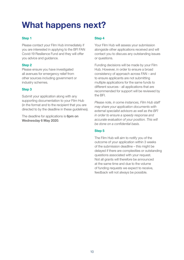### <span id="page-9-0"></span>What happens next?

### Step 1

Please contact your Film Hub immediately if you are interested in applying to the BFI FAN Covid-19 Resilience Fund and they will offer you advice and guidance.

#### Step 2

Please ensure you have investigated all avenues for emergency relief from other sources including government or industry schemes.

#### Step 3

Submit your application along with any supporting documentation to your Film Hub (in the format and to the recipient that you are directed to by the deadline in these guidelines).

The deadline for applications is 6pm on Wednesday 6 May 2020.

#### Step 4

Your Film Hub will assess your submission alongside other applications received and will contact you to discuss any outstanding issues or questions.

Funding decisions will be made by your Film Hub. However, in order to ensure a broad consistency of approach across FAN – and to ensure applicants are not submitting multiple applications for the same funds to different sources - all applications that are recommended for support will be reviewed by the BFI.

*Please note, in some instances, Film Hub staff may share your application documents with external specialist advisors as well as the BFI in order to ensure a speedy response and accurate evaluation of your position. This will be done on a confidential basis.* 

### Step 5

The Film Hub will aim to notify you of the outcome of your application within 3 weeks of the submission deadline – this might be delayed if there are complexities or outstanding questions associated with your request. Not all grants will therefore be announced at the same time and due to the volume of funding requests we expect to receive, feedback will not always be possible.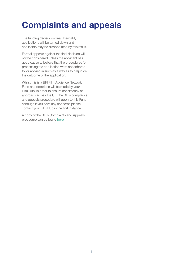### <span id="page-10-0"></span>Complaints and appeals

The funding decision is final. Inevitably applications will be turned down and applicants may be disappointed by this result.

Formal appeals against the final decision will not be considered unless the applicant has good cause to believe that the procedures for processing the application were not adhered to, or applied in such as a way as to prejudice the outcome of the application.

Whilst this is a BFI Film Audience Network Fund and decisions will be made by your Film Hub, in order to ensure consistency of approach across the UK, the BFI's complaints and appeals procedure will apply to this Fund although if you have any concerns please contact your Film Hub in the first instance.

A copy of the BFI's Complaints and Appeals procedure can be found [here](http://www.bfi.org.uk/about-bfi/policy-strategy/transparency).